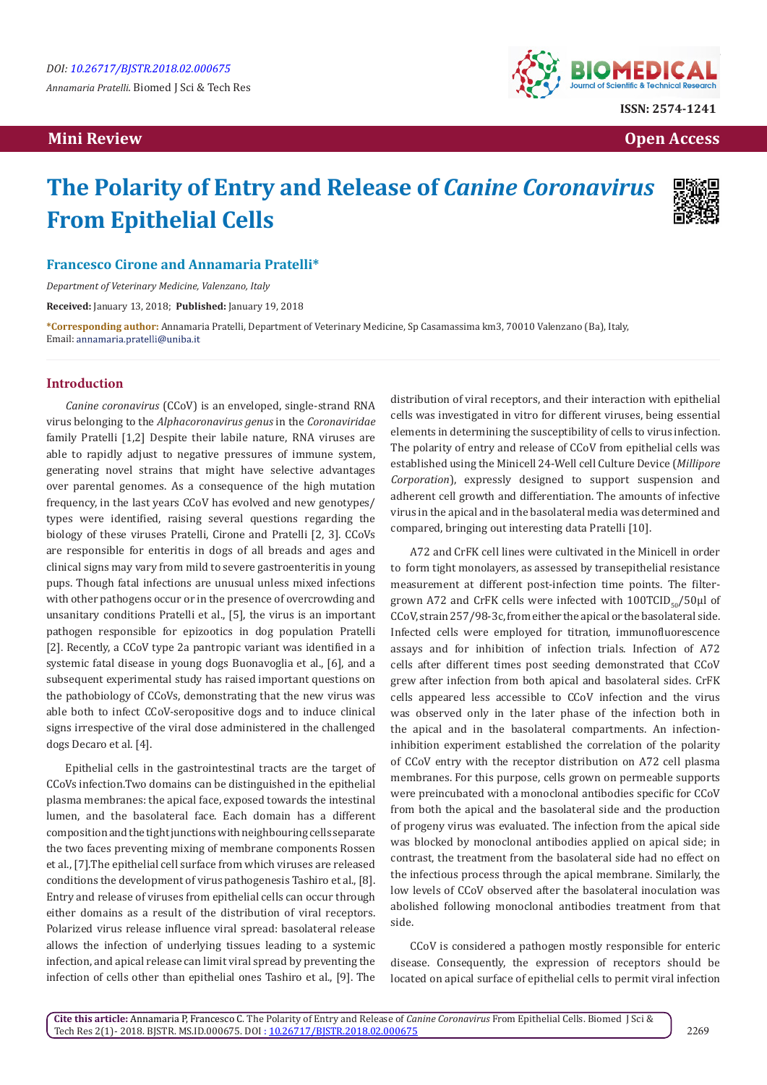**Mini Review Open Access** 



# **The Polarity of Entry and Release of** *Canine Coronavirus*  **From Epithelial Cells**



## **Francesco Cirone and Annamaria Pratelli\***

*Department of Veterinary Medicine, Valenzano, Italy*

**Received:** January 13, 2018; **Published:** January 19, 2018

**\*Corresponding author:** Annamaria Pratelli, Department of Veterinary Medicine, Sp Casamassima km3, 70010 Valenzano (Ba), Italy, Email: annamaria.pratelli@uniba.it

#### **Introduction**

*Canine coronavirus* (CCoV) is an enveloped, single-strand RNA virus belonging to the *Alphacoronavirus genus* in the *Coronaviridae* family Pratelli [1,2] Despite their labile nature, RNA viruses are able to rapidly adjust to negative pressures of immune system, generating novel strains that might have selective advantages over parental genomes. As a consequence of the high mutation frequency, in the last years CCoV has evolved and new genotypes/ types were identified, raising several questions regarding the biology of these viruses Pratelli, Cirone and Pratelli [2, 3]. CCoVs are responsible for enteritis in dogs of all breads and ages and clinical signs may vary from mild to severe gastroenteritis in young pups. Though fatal infections are unusual unless mixed infections with other pathogens occur or in the presence of overcrowding and unsanitary conditions Pratelli et al., [5], the virus is an important pathogen responsible for epizootics in dog population Pratelli [2]. Recently, a CCoV type 2a pantropic variant was identified in a systemic fatal disease in young dogs Buonavoglia et al., [6], and a subsequent experimental study has raised important questions on the pathobiology of CCoVs, demonstrating that the new virus was able both to infect CCoV-seropositive dogs and to induce clinical signs irrespective of the viral dose administered in the challenged dogs Decaro et al. [4].

Epithelial cells in the gastrointestinal tracts are the target of CCoVs infection.Two domains can be distinguished in the epithelial plasma membranes: the apical face, exposed towards the intestinal lumen, and the basolateral face. Each domain has a different composition and the tight junctions with neighbouring cells separate the two faces preventing mixing of membrane components Rossen et al., [7].The epithelial cell surface from which viruses are released conditions the development of virus pathogenesis Tashiro et al., [8]. Entry and release of viruses from epithelial cells can occur through either domains as a result of the distribution of viral receptors. Polarized virus release influence viral spread: basolateral release allows the infection of underlying tissues leading to a systemic infection, and apical release can limit viral spread by preventing the infection of cells other than epithelial ones Tashiro et al., [9]. The

distribution of viral receptors, and their interaction with epithelial cells was investigated in vitro for different viruses, being essential elements in determining the susceptibility of cells to virus infection. The polarity of entry and release of CCoV from epithelial cells was established using the Minicell 24-Well cell Culture Device (*Millipore Corporation*), expressly designed to support suspension and adherent cell growth and differentiation. The amounts of infective virus in the apical and in the basolateral media was determined and compared, bringing out interesting data Pratelli [10].

A72 and CrFK cell lines were cultivated in the Minicell in order to form tight monolayers, as assessed by transepithelial resistance measurement at different post-infection time points. The filtergrown A72 and CrFK cells were infected with  $100TCID_{0.5}/50\mu$  of CCoV, strain 257/98-3c, from either the apical or the basolateral side. Infected cells were employed for titration, immunofluorescence assays and for inhibition of infection trials. Infection of A72 cells after different times post seeding demonstrated that CCoV grew after infection from both apical and basolateral sides. CrFK cells appeared less accessible to CCoV infection and the virus was observed only in the later phase of the infection both in the apical and in the basolateral compartments. An infectioninhibition experiment established the correlation of the polarity of CCoV entry with the receptor distribution on A72 cell plasma membranes. For this purpose, cells grown on permeable supports were preincubated with a monoclonal antibodies specific for CCoV from both the apical and the basolateral side and the production of progeny virus was evaluated. The infection from the apical side was blocked by monoclonal antibodies applied on apical side; in contrast, the treatment from the basolateral side had no effect on the infectious process through the apical membrane. Similarly, the low levels of CCoV observed after the basolateral inoculation was abolished following monoclonal antibodies treatment from that side.

CCoV is considered a pathogen mostly responsible for enteric disease. Consequently, the expression of receptors should be located on apical surface of epithelial cells to permit viral infection